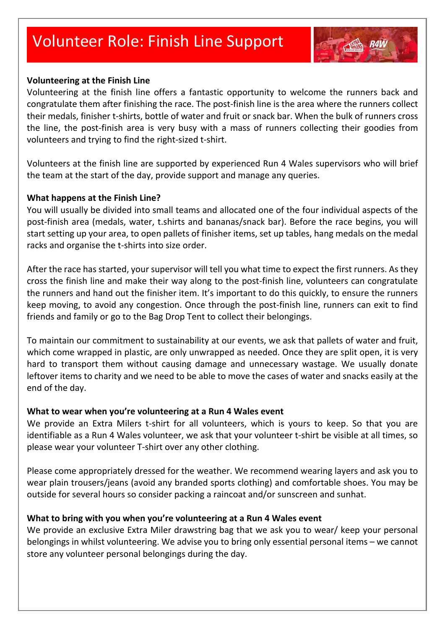# Volunteer Role: Finish Line Support



#### **Volunteering at the Finish Line**

Volunteering at the finish line offers a fantastic opportunity to welcome the runners back and congratulate them after finishing the race. The post-finish line is the area where the runners collect their medals, finisher t-shirts, bottle of water and fruit or snack bar. When the bulk of runners cross the line, the post-finish area is very busy with a mass of runners collecting their goodies from volunteers and trying to find the right-sized t-shirt.

Volunteers at the finish line are supported by experienced Run 4 Wales supervisors who will brief the team at the start of the day, provide support and manage any queries.

#### **What happens at the Finish Line?**

You will usually be divided into small teams and allocated one of the four individual aspects of the post-finish area (medals, water, t.shirts and bananas/snack bar). Before the race begins, you will start setting up your area, to open pallets of finisher items, set up tables, hang medals on the medal racks and organise the t-shirts into size order.

After the race has started, your supervisor will tell you what time to expect the first runners. As they cross the finish line and make their way along to the post-finish line, volunteers can congratulate the runners and hand out the finisher item. It's important to do this quickly, to ensure the runners keep moving, to avoid any congestion. Once through the post-finish line, runners can exit to find friends and family or go to the Bag Drop Tent to collect their belongings.

To maintain our commitment to sustainability at our events, we ask that pallets of water and fruit, which come wrapped in plastic, are only unwrapped as needed. Once they are split open, it is very hard to transport them without causing damage and unnecessary wastage. We usually donate leftover items to charity and we need to be able to move the cases of water and snacks easily at the end of the day.

### **What to wear when you're volunteering at a Run 4 Wales event**

We provide an Extra Milers t-shirt for all volunteers, which is yours to keep. So that you are identifiable as a Run 4 Wales volunteer, we ask that your volunteer t-shirt be visible at all times, so please wear your volunteer T-shirt over any other clothing.

Please come appropriately dressed for the weather. We recommend wearing layers and ask you to wear plain trousers/jeans (avoid any branded sports clothing) and comfortable shoes. You may be outside for several hours so consider packing a raincoat and/or sunscreen and sunhat.

### **What to bring with you when you're volunteering at a Run 4 Wales event**

We provide an exclusive Extra Miler drawstring bag that we ask you to wear/ keep your personal belongings in whilst volunteering. We advise you to bring only essential personal items – we cannot store any volunteer personal belongings during the day.